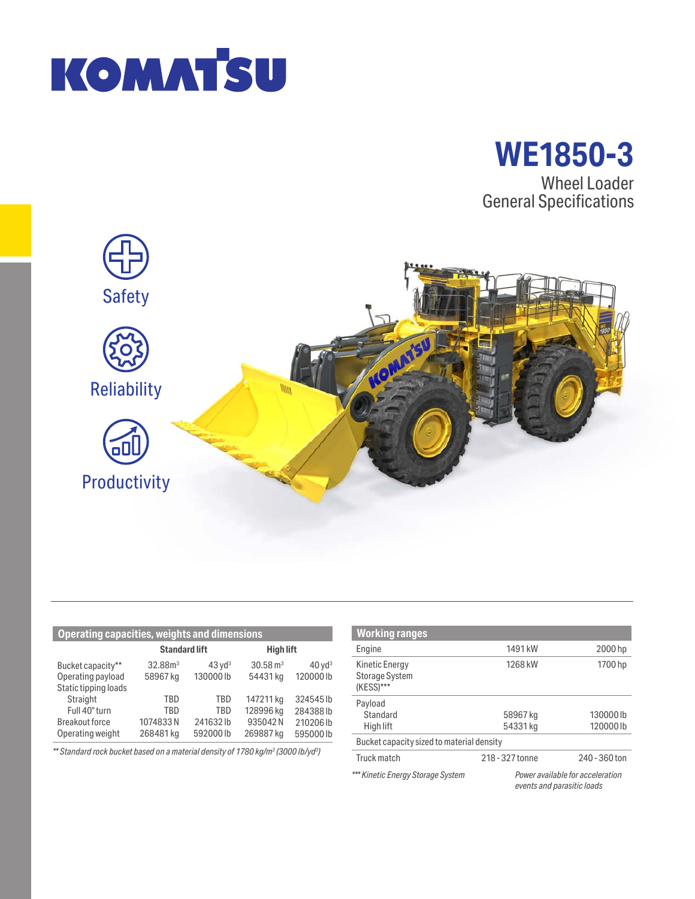



Wheel Loader General Specifications



| <b>Operating capacities, weights and dimensions</b> |                      |                      |                     |                      |
|-----------------------------------------------------|----------------------|----------------------|---------------------|----------------------|
|                                                     | <b>Standard lift</b> |                      | <b>High lift</b>    |                      |
| Bucket capacity**                                   | 32.88 <sup>3</sup>   | $43$ yd <sup>3</sup> | $30.58 \text{ m}^3$ | $40$ yd <sup>3</sup> |
| Operating payload                                   | 58967 kg             | 130000lb             | 54431 kg            | 120000 lb            |
| Static tipping loads                                |                      |                      |                     |                      |
| Straight                                            | TBD                  | TBD                  | 147211 kg           | 324545lb             |
| Full 40° turn                                       | TRD                  | TRD                  | 128996 kg           | 284388lb             |
| <b>Breakout force</b>                               | 1074833N             | 241632lb             | 935042N             | 210206 lb            |
| Operating weight                                    | 268481 kg            | 592000lb             | 269887 kg           | 595000lb             |

*\*\* Standard rock bucket based on a material density of 1780 kg/m3 (3000 lb/yd3 )*

| <b>Working ranges</b>                                       |                                                                |               |  |  |
|-------------------------------------------------------------|----------------------------------------------------------------|---------------|--|--|
| Engine                                                      | 1491 kW                                                        | 2000 hp       |  |  |
| <b>Kinetic Energy</b><br><b>Storage System</b><br>(KESS)*** | 1268 kW                                                        | 1700 hp       |  |  |
| Payload                                                     |                                                                |               |  |  |
| Standard                                                    | 58967 kg                                                       | 130000lb      |  |  |
| High lift                                                   | 54331 kg                                                       | 120000lb      |  |  |
| Bucket capacity sized to material density                   |                                                                |               |  |  |
| Truck match                                                 | 218 - 327 tonne                                                | 240 - 360 ton |  |  |
| *** Kinetic Energy Storage System                           | Power available for acceleration<br>events and parasitic loads |               |  |  |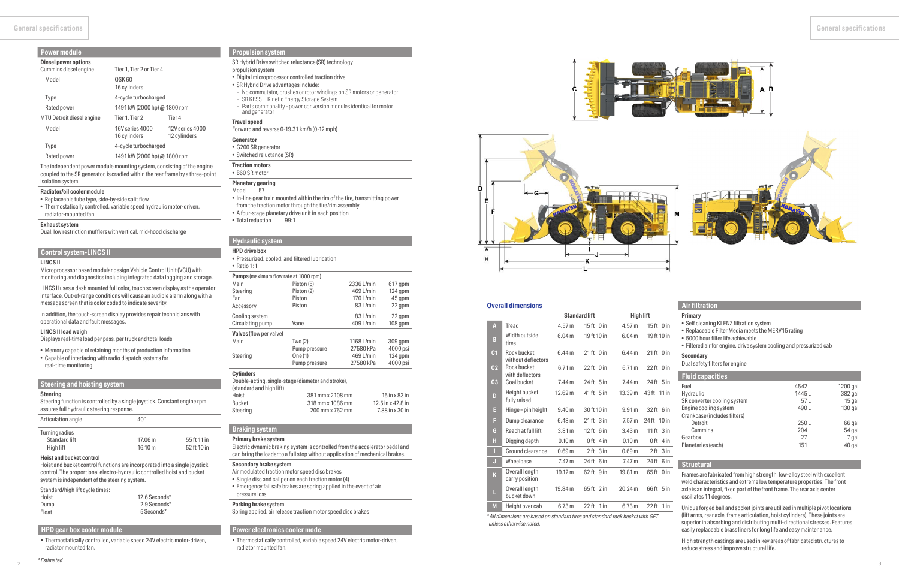# **Braking system**

#### **Primary brake system**

Electric dynamic braking system is controlled from the accelerator pedal and can bring the loader to a full stop without application of mechanical brakes.

### **Secondary brake system**

- Air modulated traction motor speed disc brakes
- Single disc and caliper on each traction motor (4)
- Emergency fail safe brakes are spring applied in the event of air pressure loss

# **Parking brake system**

Spring applied, air release traction motor speed disc brakes

## **Steering and hoisting system**

#### **Steering**

Steering function is controlled by a single joystick. Constant engine rpm assures full hydraulic steering response.

| Articulation angle | $40^{\circ}$ |             |
|--------------------|--------------|-------------|
| Turning radius     |              |             |
| Standard lift      | 17.06 m      | 55 ft 11 in |
| High lift          | 16.10 m      | 52 ft 10 in |

#### **Hoist and bucket control**

Hoist and bucket control functions are incorporated into a single joystick control. The proportional electro-hydraulic controlled hoist and bucket system is independent of the steering system.

#### Standard/high lift cycle times:

| .     |               |
|-------|---------------|
| Hoist | 12.6 Seconds* |
| Dump  | 2.9 Seconds*  |
| Float | 5 Seconds*    |

# **Hydraulic system**

#### **HPD drive box**

• Pressurized, cooled, and filtered lubrication

### • Ratio 1:1

| <b>Pumps</b> (maximum flow rate at 1800 rpm)       |                  |             |                        |
|----------------------------------------------------|------------------|-------------|------------------------|
| Main                                               | Piston (5)       | 2336 L/min  | 617 gpm                |
| Steering                                           | Piston (2)       | $469$ L/min | 124 gpm                |
| Fan                                                | Piston           | 170 L/min   | 45 qpm                 |
| Accessory                                          | Piston           | 83 L/min    | 22 gpm                 |
| Cooling system                                     |                  | 83 L/min    | 22 gpm                 |
| Circulating pump                                   | Vane             | 409 L/min   | $108$ qpm              |
| Valves (flow per valve)                            |                  |             |                        |
| Main                                               | Two (2)          | 1168 L/min  | 309 gpm                |
|                                                    | Pump pressure    | 27580 kPa   | 4000 psi               |
| Steering                                           | One (1)          | 469 L/min   | $124$ qpm              |
|                                                    | Pump pressure    | 27580 kPa   | 4000 psi               |
| <b>Cylinders</b>                                   |                  |             |                        |
| Double-acting, single-stage (diameter and stroke), |                  |             |                        |
| (standard and high lift)                           |                  |             |                        |
| Hoist                                              | 381 mm x 2108 mm |             | $15$ in $\times$ 83 in |
| <b>Bucket</b>                                      | 318 mm x 1086 mm |             | 12.5 in x 42.8 in      |

Steering

200 mm x 762 mm

7.88 in x 30 in

### **Control system-LINCS II**

### **LINCS II**

Microprocessor based modular design Vehicle Control Unit (VCU) with monitoring and diagnostics including integrated data logging and storage.

LINCS II uses a dash mounted full color, touch screen display as the operator interface. Out-of-range conditions will cause an audible alarm along with a message screen that is color coded to indicate severity.

In addition, the touch-screen display provides repair technicians with operational data and fault messages.

#### **LINCS II load weigh**

Displays real-time load per pass, per truck and total loads

- Memory capable of retaining months of production information
- Capable of interfacing with radio dispatch systems for
- real-time monitoring

### **Propulsion system**

SR Hybrid Drive switched reluctance (SR) technology

#### $0$  in **Secondary**

 $0$  in  $5$  in

 $0$  in

- propulsion system
- Digital microprocessor controlled traction drive
- SR Hybrid Drive advantages include:
- No commutator, brushes or rotor windings on SR motors or generator
- SR KESS Kinetic Energy Storage System
- Parts commonality power conversion modules identical for motor and generator

### **Travel speed**

### Forward and reverse 0-19.31 km/h (0-12 mph)

- 
- **Generator** • G200 SR generator
- Switched reluctance (SR)
- **Traction motors**
- B60 SR motor
- **Planetary gearing**

### Model 57

- In-line gear train mounted within the rim of the tire, transmitting power from the traction motor through the tire/rim assembly.
- A four-stage planetary drive unit in each position
- Total reduction 99:1

# **Power module**

| <b>Diesel power options</b><br>Cummins diesel engine | Tier 1, Tier 2 or Tier 4        |                                 |
|------------------------------------------------------|---------------------------------|---------------------------------|
| Model                                                | QSK 60<br>16 cylinders          |                                 |
| <b>Type</b>                                          | 4-cycle turbocharged            |                                 |
| Rated power                                          | 1491 kW (2000 hp) @ 1800 rpm    |                                 |
| MTU Detroit diesel engine                            | Tier 1. Tier 2                  | Tier 4                          |
| Model                                                | 16V series 4000<br>16 cylinders | 12V series 4000<br>12 cylinders |
| Type                                                 | 4-cycle turbocharged            |                                 |
| Rated power                                          | 1491 kW (2000 hp) @ 1800 rpm    |                                 |
|                                                      |                                 |                                 |

The independent power module mounting system, consisting of the engine coupled to the SR generator, is cradled within the rear frame by a three-point isolation system.

#### **Radiator/oil cooler module**

• Replaceable tube type, side-by-side split flow

• Thermostatically controlled, variable speed hydraulic motor-driven, radiator-mounted fan

#### **Exhaust system**

Dual, low restriction mufflers with vertical, mid-hood discharge

### **Overall dimensions**

|                |                                   |                   | <b>Standard lift</b> | High lift         |                          |
|----------------|-----------------------------------|-------------------|----------------------|-------------------|--------------------------|
| A              | Tread                             | 4.57 m            | $15 ft$ Oin          | 4.57 m            | 15 ft 0 in               |
| B              | Width outside<br>tires            | 6.04 <sub>m</sub> | 19 ft 10 in          | 6.04 <sub>m</sub> | 19 ft 10 in              |
| C <sub>1</sub> | Rock bucket<br>without deflectors | 6.44 <sub>m</sub> | $21$ ft $0$ in       | 6.44 <sub>m</sub> | 21ft 0 in                |
| C <sub>2</sub> | Rock bucket<br>with deflectors    | 6.71 m            | 22ft 0 in            | 6.71 m            | 22 ft 0 in               |
| C <sub>3</sub> | Coal bucket                       | 7.44 m            | 24 ft 5 in           | 7.44 m            | $24$ ft $5$ in           |
| D              | Height bucket<br>fully raised     | 12.62 m           | 41 ft 5 in           | 13.39 m           | 43 ft 11 in              |
| E              | Hinge-pin height                  | 9.40 <sub>m</sub> | 30 ft 10 in          | 9.91 <sub>m</sub> | 32 ft 6 in               |
| F              | Dump clearance                    | 6.48 <sub>m</sub> | $21$ ft $3$ in       | 7.57 m            | 24 ft 10 in              |
| G              | Reach at full lift                | 3.81 <sub>m</sub> | 12 ft 6 in           | 3.43 <sub>m</sub> | $11 \mathrm{ft}$<br>3 in |
| H              | Digging depth                     | 0.10 <sub>m</sub> | $0$ ft 4 in          | 0.10 <sub>m</sub> | 0 ft<br>4 in             |
| П              | Ground clearance                  | 0.69 <sub>m</sub> | $2 ft$ $3 in$        | 0.69 <sub>m</sub> | 2 ft<br>3 <sub>in</sub>  |
| IJ             | Wheelbase                         | 7.47 m            | $24$ ft $6$ in       | 7.47 m            | 24 ft<br>6 in            |
| K              | Overall length<br>carry position  | 19.12 m           | 62 ft 9 in           | 19.81 m           | 65ft 0 in                |
| П              | Overall length<br>bucket down     | 19.84 m           | 65ft 2 in            | 20.24 m           | 66ft 5in                 |
| M              | Height over cab                   | 6.73 m            | $22$ ft $1$ in       | 6.73 m            | 22 ft 1 in               |
|                |                                   |                   |                      |                   |                          |

*\* All dimensions are based on standard tires and standard rock bucket with GET unless otherwise noted.*

|--|--|

### **Primary**

- Self cleaning KLENZ filtration system
- Replaceable Filter Media meets the MERV15 rating
- 5000 hour filter life achievable
- Filtered air for engine, drive system cooling and pressurized cab

Dual safety filters for engine

| 4542L | 1200 gal  |
|-------|-----------|
| 1445L | 382 gal   |
| 57L   | 15 gal    |
| 490L  | $130$ gal |
|       |           |
| 250L  | 66 gal    |
| 204L  | 54 gal    |
| 271   | 7 gal     |
| 1511  | 40 gal    |
|       |           |

### **Structural**

Frames are fabricated from high strength, low-alloy steel with excellent weld characteristics and extreme low temperature properties. The front axle is an integral, fixed part of the front frame. The rear axle center oscillates 11 degrees.

Unique forged ball and socket joints are utilized in multiple pivot locations (lift arms, rear axle, frame articulation, hoist cylinders). These joints are superior in absorbing and distributing multi-directional stresses. Features easily replaceable brass liners for long life and easy maintenance.

High strength castings are used in key areas of fabricated structures to reduce stress and improve structural life.

## **Power electronics cooler mode**

• Thermostatically controlled, variable speed 24V electric motor-driven, radiator mounted fan.





### **HPD gear box cooler module**

• Thermostatically controlled, variable speed 24V electric motor-driven, radiator mounted fan.